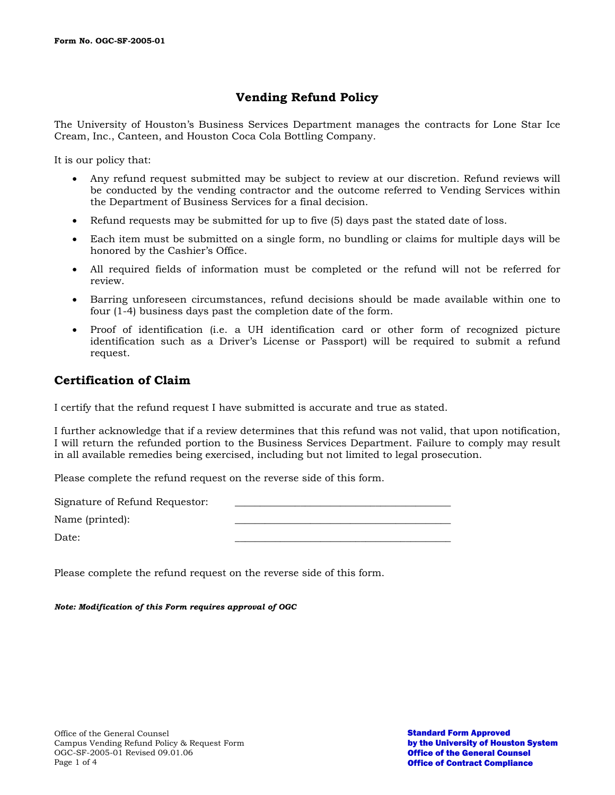# **Vending Refund Policy**

The University of Houston's Business Services Department manages the contracts for Lone Star Ice Cream, Inc., Canteen, and Houston Coca Cola Bottling Company.

It is our policy that:

- Any refund request submitted may be subject to review at our discretion. Refund reviews will be conducted by the vending contractor and the outcome referred to Vending Services within the Department of Business Services for a final decision.
- Refund requests may be submitted for up to five (5) days past the stated date of loss.
- Each item must be submitted on a single form, no bundling or claims for multiple days will be honored by the Cashier's Office.
- All required fields of information must be completed or the refund will not be referred for review.
- Barring unforeseen circumstances, refund decisions should be made available within one to four (1-4) business days past the completion date of the form.
- Proof of identification (i.e. a UH identification card or other form of recognized picture identification such as a Driver's License or Passport) will be required to submit a refund request.

### **Certification of Claim**

I certify that the refund request I have submitted is accurate and true as stated.

I further acknowledge that if a review determines that this refund was not valid, that upon notification, I will return the refunded portion to the Business Services Department. Failure to comply may result in all available remedies being exercised, including but not limited to legal prosecution.

Please complete the refund request on the reverse side of this form.

Signature of Refund Requestor: Name (printed): Date: \_\_\_\_\_\_\_\_\_\_\_\_\_\_\_\_\_\_\_\_\_\_\_\_\_\_\_\_\_\_\_\_\_\_\_\_\_\_\_\_\_\_\_

Please complete the refund request on the reverse side of this form.

*Note: Modification of this Form requires approval of OGC*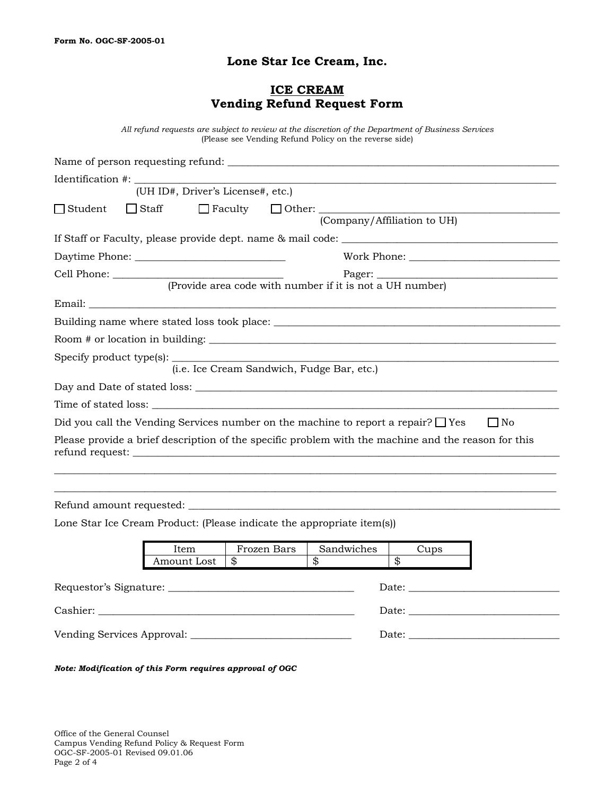### **Lone Star Ice Cream, Inc.**

### **ICE CREAM Vending Refund Request Form**

*All refund requests are subject to review at the discretion of the Department of Business Services*  (Please see Vending Refund Policy on the reverse side)

|                                                                                                                                                                                                                                | (UH ID#, Driver's License#, etc.)           |             |                                                          |                         |                   |  |  |
|--------------------------------------------------------------------------------------------------------------------------------------------------------------------------------------------------------------------------------|---------------------------------------------|-------------|----------------------------------------------------------|-------------------------|-------------------|--|--|
| $\Box$ Student                                                                                                                                                                                                                 | $\Box$ Staff<br>(Company/Affiliation to UH) |             |                                                          |                         |                   |  |  |
|                                                                                                                                                                                                                                |                                             |             |                                                          |                         |                   |  |  |
|                                                                                                                                                                                                                                |                                             |             |                                                          |                         |                   |  |  |
|                                                                                                                                                                                                                                |                                             |             |                                                          |                         |                   |  |  |
|                                                                                                                                                                                                                                |                                             |             | (Provide area code with number if it is not a UH number) |                         |                   |  |  |
|                                                                                                                                                                                                                                |                                             |             |                                                          |                         |                   |  |  |
|                                                                                                                                                                                                                                |                                             |             |                                                          |                         |                   |  |  |
|                                                                                                                                                                                                                                |                                             |             |                                                          |                         |                   |  |  |
|                                                                                                                                                                                                                                |                                             |             | (i.e. Ice Cream Sandwich, Fudge Bar, etc.)               |                         |                   |  |  |
|                                                                                                                                                                                                                                |                                             |             |                                                          |                         |                   |  |  |
|                                                                                                                                                                                                                                |                                             |             |                                                          |                         |                   |  |  |
| Did you call the Vending Services number on the machine to report a repair? $\Box$ Yes                                                                                                                                         |                                             |             |                                                          |                         | $\blacksquare$ No |  |  |
| Please provide a brief description of the specific problem with the machine and the reason for this                                                                                                                            |                                             |             |                                                          |                         |                   |  |  |
|                                                                                                                                                                                                                                |                                             |             |                                                          |                         |                   |  |  |
| Lone Star Ice Cream Product: (Please indicate the appropriate item(s))                                                                                                                                                         |                                             |             |                                                          |                         |                   |  |  |
|                                                                                                                                                                                                                                | Item                                        | Frozen Bars | Sandwiches                                               | Cups                    |                   |  |  |
|                                                                                                                                                                                                                                | Amount Lost<br>\$                           |             |                                                          | $\overline{\mathbf{B}}$ |                   |  |  |
|                                                                                                                                                                                                                                |                                             |             |                                                          |                         |                   |  |  |
|                                                                                                                                                                                                                                |                                             |             |                                                          |                         |                   |  |  |
| Date: the contract of the contract of the contract of the contract of the contract of the contract of the contract of the contract of the contract of the contract of the contract of the contract of the contract of the cont |                                             |             |                                                          |                         |                   |  |  |

*Note: Modification of this Form requires approval of OGC*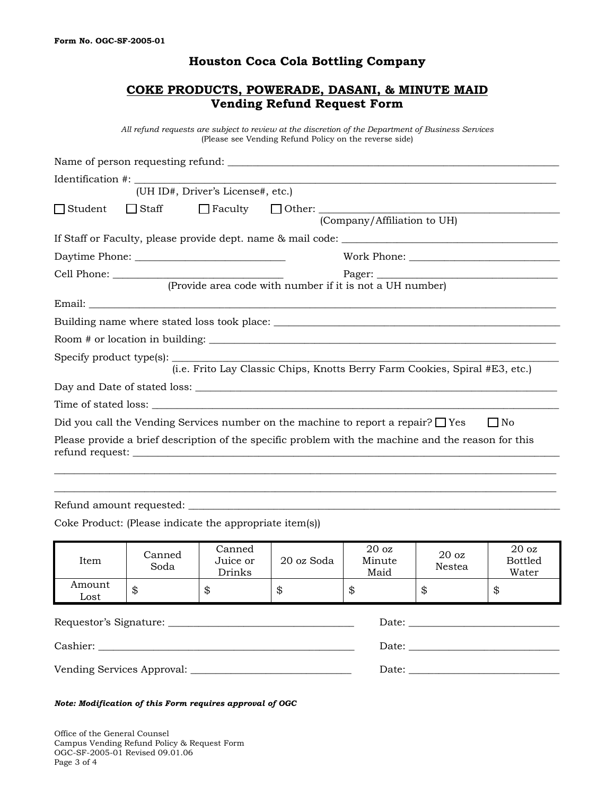#### **Houston Coca Cola Bottling Company**

### **COKE PRODUCTS, POWERADE, DASANI, & MINUTE MAID Vending Refund Request Form**

*All refund requests are subject to review at the discretion of the Department of Business Services*  (Please see Vending Refund Policy on the reverse side)

| (UH ID#, Driver's License#, etc.)                                                                       |  |  |  |  |  |
|---------------------------------------------------------------------------------------------------------|--|--|--|--|--|
|                                                                                                         |  |  |  |  |  |
| (Company/Affiliation to UH)                                                                             |  |  |  |  |  |
|                                                                                                         |  |  |  |  |  |
|                                                                                                         |  |  |  |  |  |
|                                                                                                         |  |  |  |  |  |
| (Provide area code with number if it is not a UH number)                                                |  |  |  |  |  |
|                                                                                                         |  |  |  |  |  |
|                                                                                                         |  |  |  |  |  |
|                                                                                                         |  |  |  |  |  |
| Specify product type(s):<br>(i.e. Frito Lay Classic Chips, Knotts Berry Farm Cookies, Spiral #E3, etc.) |  |  |  |  |  |
|                                                                                                         |  |  |  |  |  |
|                                                                                                         |  |  |  |  |  |
|                                                                                                         |  |  |  |  |  |
| Did you call the Vending Services number on the machine to report a repair? $\square$ Yes<br>$\Box$ No  |  |  |  |  |  |
| Please provide a brief description of the specific problem with the machine and the reason for this     |  |  |  |  |  |
|                                                                                                         |  |  |  |  |  |
|                                                                                                         |  |  |  |  |  |

Refund amount requested:  $\overline{\phantom{a}}$ 

Coke Product: (Please indicate the appropriate item(s))

| Item                                                                                                                                                                                                                           | Canned<br>Soda | Canned<br>Juice or<br>Drinks | 20 oz Soda | 20 <sub>oz</sub><br>Minute<br>Maid | 20 <sub>oz</sub><br><b>Nestea</b>                                                                                                                                                                                              | 20 <sub>oz</sub><br><b>Bottled</b><br>Water |  |
|--------------------------------------------------------------------------------------------------------------------------------------------------------------------------------------------------------------------------------|----------------|------------------------------|------------|------------------------------------|--------------------------------------------------------------------------------------------------------------------------------------------------------------------------------------------------------------------------------|---------------------------------------------|--|
| Amount<br>Lost                                                                                                                                                                                                                 | \$             | \$                           | \$         | \$                                 | \$                                                                                                                                                                                                                             | \$                                          |  |
| Date: the contract of the contract of the contract of the contract of the contract of the contract of the contract of the contract of the contract of the contract of the contract of the contract of the contract of the cont |                |                              |            |                                    |                                                                                                                                                                                                                                |                                             |  |
|                                                                                                                                                                                                                                |                |                              |            |                                    | Date:                                                                                                                                                                                                                          |                                             |  |
|                                                                                                                                                                                                                                |                |                              |            |                                    | Date: the contract of the contract of the contract of the contract of the contract of the contract of the contract of the contract of the contract of the contract of the contract of the contract of the contract of the cont |                                             |  |

*Note: Modification of this Form requires approval of OGC*